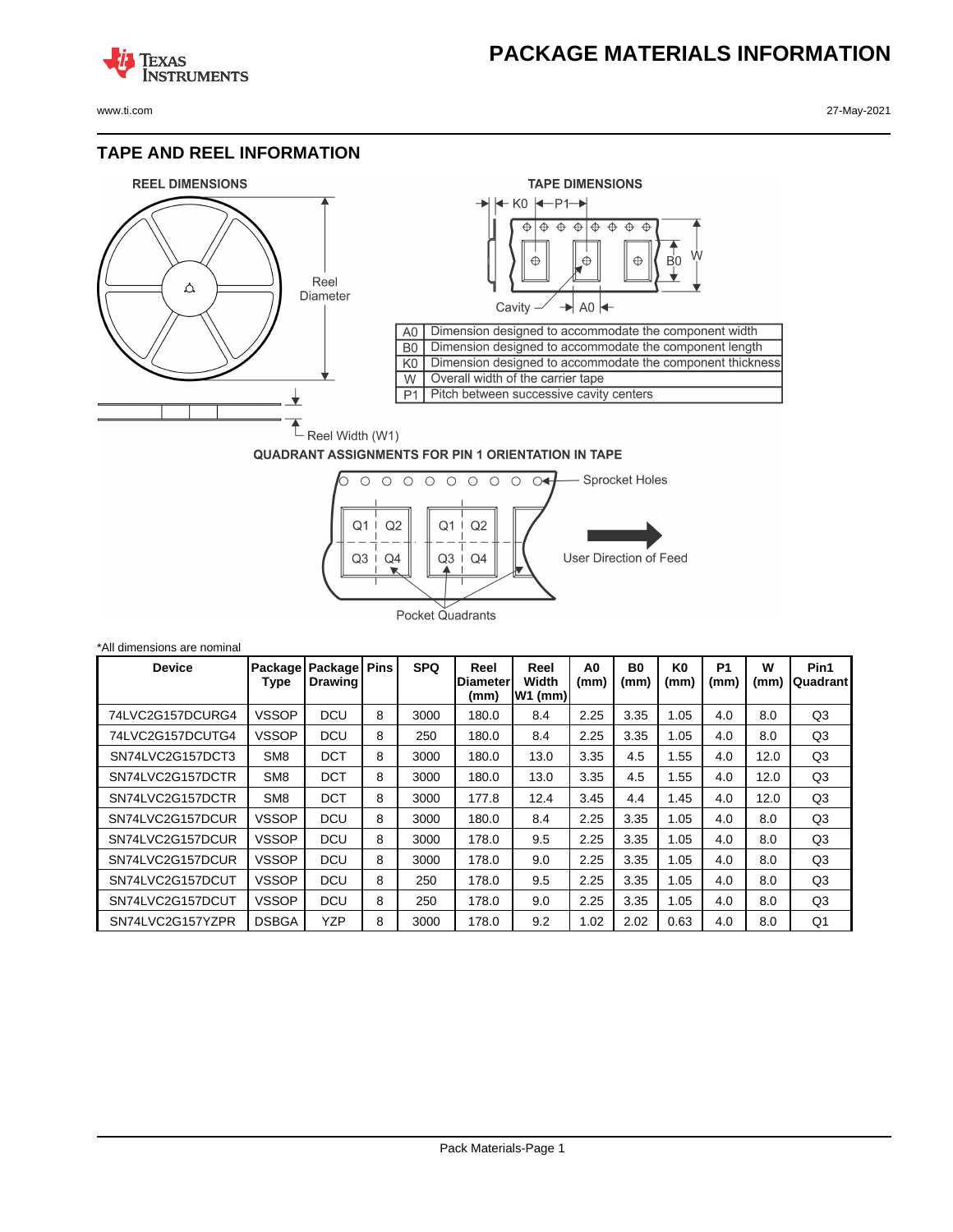## **PACKAGE MATERIALS INFORMATION**

**TEXAS NSTRUMENTS** 

## **TAPE AND REEL INFORMATION**





## **QUADRANT ASSIGNMENTS FOR PIN 1 ORIENTATION IN TAPE**



| *All dimensions are nominal |                 |                                       |             |            |                                 |                            |            |                        |                        |                        |           |                  |
|-----------------------------|-----------------|---------------------------------------|-------------|------------|---------------------------------|----------------------------|------------|------------------------|------------------------|------------------------|-----------|------------------|
| <b>Device</b>               | Type            | Package   Package  <br><b>Drawing</b> | <b>Pins</b> | <b>SPQ</b> | Reel<br><b>Diameter</b><br>(mm) | Reel<br>Width<br>$W1$ (mm) | A0<br>(mm) | B <sub>0</sub><br>(mm) | K <sub>0</sub><br>(mm) | P <sub>1</sub><br>(mm) | w<br>(mm) | Pin1<br>Quadrant |
| 74LVC2G157DCURG4            | <b>VSSOP</b>    | <b>DCU</b>                            | 8           | 3000       | 180.0                           | 8.4                        | 2.25       | 3.35                   | 1.05                   | 4.0                    | 8.0       | Q3               |
| 74LVC2G157DCUTG4            | <b>VSSOP</b>    | <b>DCU</b>                            | 8           | 250        | 180.0                           | 8.4                        | 2.25       | 3.35                   | 1.05                   | 4.0                    | 8.0       | Q3               |
| SN74LVC2G157DCT3            | SM <sub>8</sub> | <b>DCT</b>                            | 8           | 3000       | 180.0                           | 13.0                       | 3.35       | 4.5                    | 1.55                   | 4.0                    | 12.0      | Q <sub>3</sub>   |
| SN74LVC2G157DCTR            | SM <sub>8</sub> | <b>DCT</b>                            | 8           | 3000       | 180.0                           | 13.0                       | 3.35       | 4.5                    | 1.55                   | 4.0                    | 12.0      | Q <sub>3</sub>   |
| SN74LVC2G157DCTR            | SM <sub>8</sub> | <b>DCT</b>                            | 8           | 3000       | 177.8                           | 12.4                       | 3.45       | 4.4                    | 1.45                   | 4.0                    | 12.0      | Q3               |
| SN74LVC2G157DCUR            | <b>VSSOP</b>    | <b>DCU</b>                            | 8           | 3000       | 180.0                           | 8.4                        | 2.25       | 3.35                   | 1.05                   | 4.0                    | 8.0       | Q <sub>3</sub>   |
| SN74LVC2G157DCUR            | VSSOP           | <b>DCU</b>                            | 8           | 3000       | 178.0                           | 9.5                        | 2.25       | 3.35                   | 1.05                   | 4.0                    | 8.0       | Q <sub>3</sub>   |
| SN74LVC2G157DCUR            | <b>VSSOP</b>    | <b>DCU</b>                            | 8           | 3000       | 178.0                           | 9.0                        | 2.25       | 3.35                   | 1.05                   | 4.0                    | 8.0       | Q <sub>3</sub>   |
| SN74LVC2G157DCUT            | <b>VSSOP</b>    | <b>DCU</b>                            | 8           | 250        | 178.0                           | 9.5                        | 2.25       | 3.35                   | 1.05                   | 4.0                    | 8.0       | Q <sub>3</sub>   |
| SN74LVC2G157DCUT            | <b>VSSOP</b>    | <b>DCU</b>                            | 8           | 250        | 178.0                           | 9.0                        | 2.25       | 3.35                   | 1.05                   | 4.0                    | 8.0       | Q <sub>3</sub>   |
| SN74LVC2G157YZPR            | <b>DSBGA</b>    | <b>YZP</b>                            | 8           | 3000       | 178.0                           | 9.2                        | 1.02       | 2.02                   | 0.63                   | 4.0                    | 8.0       | Q1               |